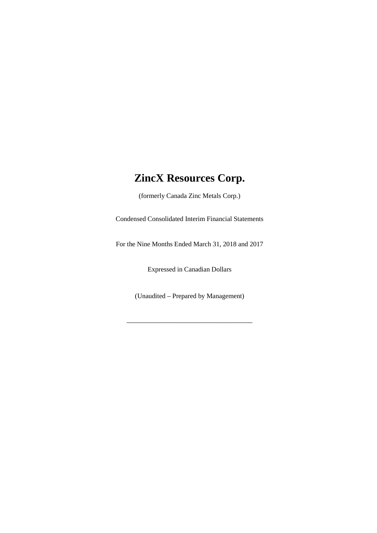(formerly Canada Zinc Metals Corp.)

Condensed Consolidated Interim Financial Statements

For the Nine Months Ended March 31, 2018 and 2017

Expressed in Canadian Dollars

(Unaudited – Prepared by Management)

\_\_\_\_\_\_\_\_\_\_\_\_\_\_\_\_\_\_\_\_\_\_\_\_\_\_\_\_\_\_\_\_\_\_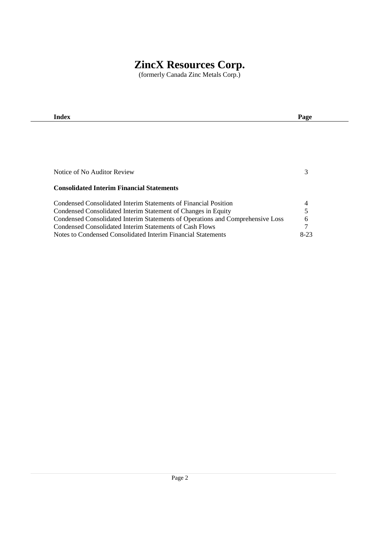(formerly Canada Zinc Metals Corp.)

| Index                                                                          | Page   |
|--------------------------------------------------------------------------------|--------|
|                                                                                |        |
|                                                                                |        |
|                                                                                |        |
|                                                                                |        |
|                                                                                |        |
| Notice of No Auditor Review                                                    | 3      |
|                                                                                |        |
| <b>Consolidated Interim Financial Statements</b>                               |        |
| Condensed Consolidated Interim Statements of Financial Position                | 4      |
| Condensed Consolidated Interim Statement of Changes in Equity                  | 5      |
| Condensed Consolidated Interim Statements of Operations and Comprehensive Loss | 6      |
| Condensed Consolidated Interim Statements of Cash Flows                        | 7      |
| Notes to Condensed Consolidated Interim Financial Statements                   | $8-23$ |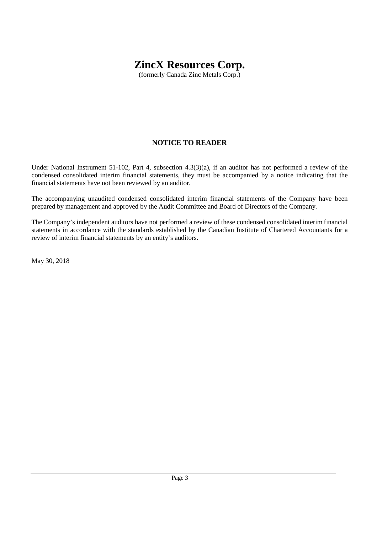(formerly Canada Zinc Metals Corp.)

## **NOTICE TO READER**

Under National Instrument 51-102, Part 4, subsection 4.3(3)(a), if an auditor has not performed a review of the condensed consolidated interim financial statements, they must be accompanied by a notice indicating that the financial statements have not been reviewed by an auditor.

The accompanying unaudited condensed consolidated interim financial statements of the Company have been prepared by management and approved by the Audit Committee and Board of Directors of the Company.

The Company's independent auditors have not performed a review of these condensed consolidated interim financial statements in accordance with the standards established by the Canadian Institute of Chartered Accountants for a review of interim financial statements by an entity's auditors.

May 30, 2018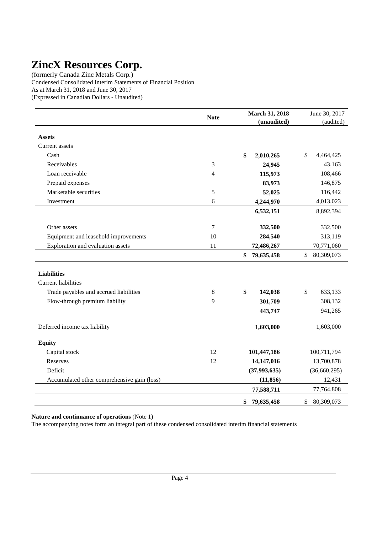(formerly Canada Zinc Metals Corp.) Condensed Consolidated Interim Statements of Financial Position As at March 31, 2018 and June 30, 2017 (Expressed in Canadian Dollars - Unaudited)

|                                             | <b>Note</b> | March 31, 2018   | June 30, 2017    |
|---------------------------------------------|-------------|------------------|------------------|
|                                             |             | (unaudited)      | (audited)        |
| <b>Assets</b>                               |             |                  |                  |
| Current assets                              |             |                  |                  |
| Cash                                        |             | \$<br>2,010,265  | \$<br>4,464,425  |
| Receivables                                 | 3           | 24,945           | 43,163           |
| Loan receivable                             | 4           | 115,973          | 108,466          |
| Prepaid expenses                            |             | 83,973           | 146,875          |
| Marketable securities                       | 5           | 52,025           | 116,442          |
| Investment                                  | 6           | 4,244,970        | 4,013,023        |
|                                             |             | 6,532,151        | 8,892,394        |
| Other assets                                | $\tau$      | 332,500          | 332,500          |
| Equipment and leasehold improvements        | 10          | 284,540          | 313,119          |
| Exploration and evaluation assets           | 11          | 72,486,267       | 70,771,060       |
|                                             |             | \$<br>79,635,458 | \$<br>80,309,073 |
| <b>Liabilities</b>                          |             |                  |                  |
| <b>Current liabilities</b>                  |             |                  |                  |
| Trade payables and accrued liabilities      | $\,8\,$     | \$<br>142,038    | 633,133<br>\$    |
| Flow-through premium liability              | 9           | 301,709          | 308,132          |
|                                             |             | 443,747          | 941,265          |
| Deferred income tax liability               |             | 1,603,000        | 1,603,000        |
| <b>Equity</b>                               |             |                  |                  |
| Capital stock                               | 12          | 101,447,186      | 100,711,794      |
| Reserves                                    | 12          | 14,147,016       | 13,700,878       |
| Deficit                                     |             | (37, 993, 635)   | (36,660,295)     |
| Accumulated other comprehensive gain (loss) |             | (11, 856)        | 12,431           |
|                                             |             | 77,588,711       | 77,764,808       |
|                                             |             | \$<br>79,635,458 | 80,309,073<br>\$ |

**Nature and continuance of operations** (Note 1)

The accompanying notes form an integral part of these condensed consolidated interim financial statements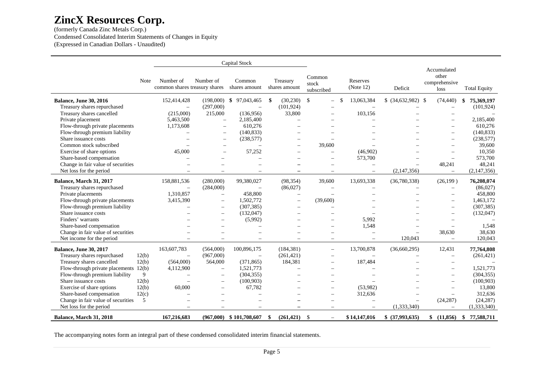(formerly Canada Zinc Metals Corp.) Condensed Consolidated Interim Statements of Changes in Equity (Expressed in Canadian Dollars - Unaudited)

|                                                                       |                                            |                          | <b>Capital Stock</b>                    |                           |                                  |                              |                          |                                               |                          |
|-----------------------------------------------------------------------|--------------------------------------------|--------------------------|-----------------------------------------|---------------------------|----------------------------------|------------------------------|--------------------------|-----------------------------------------------|--------------------------|
| Note                                                                  | Number of<br>common shares treasury shares | Number of                | Common<br>shares amount                 | Treasury<br>shares amount | Common<br>stock<br>subscribed    | <b>Reserves</b><br>(Note 12) | Deficit                  | Accumulated<br>other<br>comprehensive<br>loss | <b>Total Equity</b>      |
| <b>Balance, June 30, 2016</b>                                         | 152,414,428                                | (198,000)                | \$<br>97,043,465                        | \$<br>(30, 230)           | $\mathbb{S}$                     | 13,063,384                   | $$ (34,632,982)$ \$      | (74, 440)                                     | 75,369,197<br>\$         |
| Treasury shares repurchased                                           |                                            | (297,000)                |                                         | (101, 924)                |                                  |                              |                          |                                               | (101, 924)               |
| Treasury shares cancelled                                             | (215,000)                                  | 215,000                  | (136,956)                               | 33,800                    |                                  | 103,156                      |                          |                                               |                          |
| Private placement                                                     | 5,463,500                                  | $\overline{\phantom{m}}$ | 2,185,400                               |                           | $\overline{\phantom{0}}$         |                              |                          |                                               | 2,185,400                |
| Flow-through private placements                                       | 1,173,608                                  | $\overline{\phantom{0}}$ | 610,276                                 |                           |                                  |                              |                          |                                               | 610,276                  |
| Flow-through premium liability                                        |                                            | $\overline{\phantom{a}}$ | (140, 833)                              |                           | $\overline{\phantom{0}}$         |                              |                          | $\overline{\phantom{0}}$                      | (140, 833)               |
| Share issuance costs                                                  |                                            | $\overline{\phantom{a}}$ | (238, 577)                              |                           |                                  |                              |                          |                                               | (238, 577)               |
| Common stock subscribed                                               |                                            | $\equiv$                 |                                         |                           | 39,600                           |                              |                          |                                               | 39,600                   |
| Exercise of share options                                             | 45,000                                     | $\equiv$                 | 57,252                                  |                           | $\overline{\phantom{a}}$         | (46,902)                     |                          |                                               | 10,350                   |
| Share-based compensation                                              |                                            |                          |                                         |                           | ÷                                | 573,700                      |                          | $\overline{\phantom{0}}$                      | 573,700                  |
| Change in fair value of securities                                    |                                            |                          |                                         |                           |                                  | $\overline{\phantom{0}}$     | $\overline{\phantom{0}}$ | 48,241                                        | 48,241                   |
| Net loss for the period                                               |                                            |                          |                                         |                           |                                  | $\equiv$                     | (2,147,356)              | $\overline{\phantom{m}}$                      | (2,147,356)              |
| Balance, March 31, 2017                                               | 158,881,536                                | (280,000)                | 99,380,027                              | (98, 354)                 | 39,600                           | 13,693,338                   | (36,780,338)             | (26,199)                                      | 76,208,074               |
| Treasury shares repurchased                                           |                                            | (284,000)                |                                         | (86,027)                  |                                  |                              |                          |                                               | (86,027)                 |
| Private placements                                                    | 1,310,857                                  | $\overline{\phantom{0}}$ | 458,800                                 | $\overline{\phantom{0}}$  | L.                               |                              |                          | $\overline{\phantom{0}}$                      | 458,800                  |
| Flow-through private placements                                       | 3,415,390                                  | $\qquad \qquad -$        | 1.502.772                               |                           | (39,600)                         |                              |                          | $\overline{\phantom{0}}$                      | 1.463.172                |
| Flow-through premium liability                                        |                                            | $\overline{\phantom{0}}$ | (307, 385)                              |                           |                                  |                              |                          | $\overline{\phantom{0}}$                      | (307, 385)               |
| Share issuance costs                                                  |                                            | $\overline{\phantom{0}}$ | (132, 047)                              |                           | $\overline{\phantom{0}}$         |                              |                          | $\overline{\phantom{0}}$                      | (132, 047)               |
| Finders' warrants                                                     |                                            |                          | (5,992)                                 |                           | $\overline{\phantom{a}}$         | 5.992                        |                          |                                               |                          |
| Share-based compensation                                              |                                            |                          |                                         |                           | ÷                                | 1,548                        |                          | $\equiv$                                      | 1.548                    |
| Change in fair value of securities                                    |                                            |                          |                                         |                           | L,                               |                              | $\overline{\phantom{0}}$ | 38,630                                        | 38.630                   |
| Net income for the period                                             |                                            |                          | $\overline{\phantom{0}}$                | $\overline{\phantom{0}}$  | $\overline{\phantom{m}}$         | $\overline{\phantom{m}}$     | 120,043                  | $\overline{\phantom{m}}$                      | 120,043                  |
| <b>Balance, June 30, 2017</b><br>Treasury shares repurchased<br>12(b) | 163,607,783<br>$\overline{\phantom{m}}$    | (564,000)<br>(967,000)   | 100,896,175<br>$\overline{\phantom{m}}$ | (184, 381)<br>(261, 421)  | $\overline{\phantom{m}}$         | 13,700,878                   | (36,660,295)<br>$\equiv$ | 12,431<br>$\overline{\phantom{0}}$            | 77,764,808<br>(261, 421) |
| Treasury shares cancelled<br>12(b)                                    | (564,000)                                  | 564,000                  | (371, 865)                              | 184,381                   | $\overline{\phantom{a}}$         | 187,484                      |                          | $\overline{\phantom{0}}$                      |                          |
| Flow-through private placements 12(b)                                 | 4,112,900                                  | $\overline{\phantom{0}}$ | 1,521,773                               |                           |                                  |                              |                          | $\overline{\phantom{0}}$                      | 1,521,773                |
| Flow-through premium liability<br>9                                   |                                            | $\overline{\phantom{0}}$ | (304, 355)                              |                           |                                  |                              |                          |                                               | (304, 355)               |
| Share issuance costs<br>12(b)                                         | $\equiv$                                   | $\overline{\phantom{0}}$ | (100, 903)                              |                           | $\overline{\phantom{0}}$         |                              |                          | $\overline{\phantom{0}}$                      | (100, 903)               |
| Exercise of share options<br>12(b)                                    | 60,000                                     | $\overline{\phantom{0}}$ | 67,782                                  |                           | $\overline{\phantom{0}}$         | (53,982)                     |                          |                                               | 13,800                   |
| Share-based compensation<br>12(c)                                     |                                            |                          |                                         |                           | $\overline{\phantom{0}}$         | 312,636                      |                          |                                               | 312,636                  |
| Change in fair value of securities<br>5                               |                                            |                          |                                         |                           |                                  |                              |                          | (24, 287)                                     | (24, 287)                |
| Net loss for the period                                               |                                            |                          |                                         |                           | $\overline{\phantom{a}}$         |                              | (1,333,340)              | $\overline{\phantom{0}}$                      | (1,333,340)              |
|                                                                       | 167,216,683                                |                          | $(967,000)$ \$101,708,607               | (261, 421)                | - \$<br>$\overline{\phantom{0}}$ | \$14,147,016                 | \$ (37,993,635)          | \$<br>(11, 856)                               | 77,588,711               |
| Balance, March 31, 2018                                               |                                            |                          |                                         | - \$                      |                                  |                              |                          |                                               | \$                       |

The accompanying notes form an integral part of these condensed consolidated interim financial statements.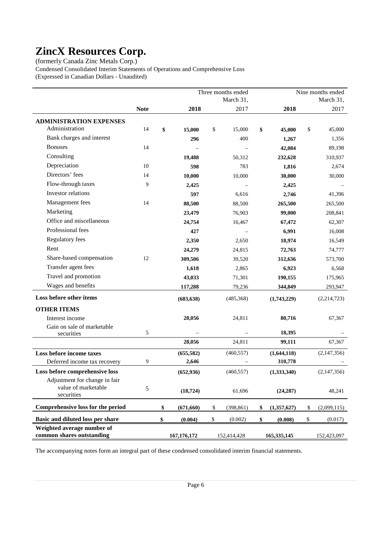(formerly Canada Zinc Metals Corp.) Condensed Consolidated Interim Statements of Operations and Comprehensive Loss (Expressed in Canadian Dollars - Unaudited)

|                                   |             |                  |      | Three months ended |                     |              | Nine months ended |
|-----------------------------------|-------------|------------------|------|--------------------|---------------------|--------------|-------------------|
|                                   |             |                  |      | March 31,          |                     |              | March 31,         |
|                                   | <b>Note</b> | 2018             |      | 2017               | 2018                |              | 2017              |
| <b>ADMINISTRATION EXPENSES</b>    |             |                  |      |                    |                     |              |                   |
| Administration                    | 14          | \$<br>15,000     | \$   | 15,000             | \$<br>45,000        | \$           | 45,000            |
| Bank charges and interest         |             | 296              |      | 400                | 1,267               |              | 1,356             |
| <b>Bonuses</b>                    | 14          |                  |      |                    | 42,084              |              | 89,198            |
| Consulting                        |             | 19,488           |      | 50,312             | 232,628             |              | 310,937           |
| Depreciation                      | 10          | 598              |      | 783                | 1,816               |              | 2,674             |
| Directors' fees                   | 14          | 10,000           |      | 10,000             | 30,000              |              | 30,000            |
| Flow-through taxes                | 9           | 2,425            |      |                    | 2,425               |              |                   |
| Investor relations                |             | 597              |      | 6,616              | 2,746               |              | 41,396            |
| Management fees                   | 14          | 88,500           |      | 88,500             | 265,500             |              | 265,500           |
| Marketing                         |             | 23,479           |      | 76,903             | 99,000              |              | 208,841           |
| Office and miscellaneous          |             | 24,754           |      | 16,467             | 67,472              |              | 62,307            |
| Professional fees                 |             | 427              |      |                    | 6,991               |              | 16,008            |
| <b>Regulatory fees</b>            |             | 2,350            |      | 2,650              | 18,974              |              | 16,549            |
| Rent                              |             | 24,279           |      | 24,815             | 72,763              |              | 74,777            |
| Share-based compensation          | 12          | 309,506          |      | 39,520             | 312,636             |              | 573,700           |
| Transfer agent fees               |             | 1,618            |      | 2,865              | 6,923               |              | 6,568             |
| Travel and promotion              |             | 43,033           |      | 71,301             | 190,155             |              | 175,965           |
| Wages and benefits                |             | 117,288          |      | 79,236             | 344,849             |              | 293,947           |
| Loss before other items           |             | (683, 638)       |      | (485,368)          | (1,743,229)         |              | (2,214,723)       |
| <b>OTHER ITEMS</b>                |             |                  |      |                    |                     |              |                   |
| Interest income                   |             | 28,056           |      | 24,811             | 80,716              |              | 67,367            |
| Gain on sale of marketable        |             |                  |      |                    |                     |              |                   |
| securities                        | 5           |                  |      |                    | 18,395              |              |                   |
|                                   |             | 28,056           |      | 24,811             | 99,111              |              | 67,367            |
| Loss before income taxes          |             | (655, 582)       |      | (460, 557)         | (1,644,118)         |              | (2,147,356)       |
| Deferred income tax recovery      | 9           | 2,646            |      |                    | 310,778             |              |                   |
| Loss before comprehensive loss    |             | (652, 936)       |      | (460, 557)         | (1,333,340)         |              | (2,147,356)       |
| Adjustment for change in fair     |             |                  |      |                    |                     |              |                   |
| value of marketable<br>securities | 5           | (18, 724)        |      | 61,696             | (24, 287)           |              | 48,241            |
| Comprehensive loss for the period |             | \$<br>(671, 660) | \$   | (398, 861)         | \$<br>(1, 357, 627) | \$           | (2,099,115)       |
| Basic and diluted loss per share  |             | \$<br>(0.004)    | $\$$ | (0.002)            | \$<br>(0.008)       | $\mathbb{S}$ | (0.017)           |
| Weighted average number of        |             |                  |      |                    |                     |              |                   |
| common shares outstanding         |             | 167, 176, 172    |      | 152,414,428        | 165,335,145         |              | 152,423,097       |

The accompanying notes form an integral part of these condensed consolidated interim financial statements.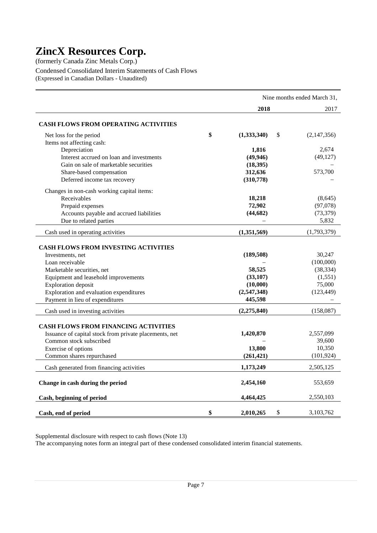(formerly Canada Zinc Metals Corp.) Condensed Consolidated Interim Statements of Cash Flows (Expressed in Canadian Dollars - Unaudited)

|                                                                |                   | Nine months ended March 31, |
|----------------------------------------------------------------|-------------------|-----------------------------|
|                                                                | 2018              | 2017                        |
| <b>CASH FLOWS FROM OPERATING ACTIVITIES</b>                    |                   |                             |
| Net loss for the period                                        | \$<br>(1,333,340) | \$<br>(2,147,356)           |
| Items not affecting cash:                                      |                   |                             |
| Depreciation                                                   | 1,816             | 2,674                       |
| Interest accrued on loan and investments                       | (49, 946)         | (49, 127)                   |
| Gain on sale of marketable securities                          | (18, 395)         |                             |
| Share-based compensation                                       | 312,636           | 573,700                     |
| Deferred income tax recovery                                   | (310,778)         |                             |
| Changes in non-cash working capital items:                     |                   |                             |
| Receivables                                                    | 18,218            | (8,645)                     |
| Prepaid expenses                                               | 72,902            | (97,078)                    |
| Accounts payable and accrued liabilities                       | (44, 682)         | (73, 379)                   |
| Due to related parties                                         |                   | 5,832                       |
| Cash used in operating activities                              | (1,351,569)       | (1,793,379)                 |
|                                                                |                   |                             |
| <b>CASH FLOWS FROM INVESTING ACTIVITIES</b>                    |                   |                             |
| Investments, net                                               | (189, 508)        | 30,247<br>(100,000)         |
| Loan receivable                                                | 58,525            | (38, 334)                   |
| Marketable securities, net                                     | (33, 107)         | (1,551)                     |
| Equipment and leasehold improvements                           | (10,000)          | 75,000                      |
| Exploration deposit<br>Exploration and evaluation expenditures | (2,547,348)       | (123, 449)                  |
| Payment in lieu of expenditures                                | 445,598           |                             |
|                                                                |                   |                             |
| Cash used in investing activities                              | (2,275,840)       | (158,087)                   |
| <b>CASH FLOWS FROM FINANCING ACTIVITIES</b>                    |                   |                             |
| Issuance of capital stock from private placements, net         | 1,420,870         | 2,557,099                   |
| Common stock subscribed                                        |                   | 39,600                      |
| Exercise of options                                            | 13,800            | 10,350                      |
| Common shares repurchased                                      | (261, 421)        | (101, 924)                  |
| Cash generated from financing activities                       | 1,173,249         | 2,505,125                   |
| Change in cash during the period                               | 2,454,160         | 553,659                     |
| Cash, beginning of period                                      | 4,464,425         | 2,550,103                   |
| Cash, end of period                                            | \$<br>2,010,265   | \$<br>3,103,762             |

Supplemental disclosure with respect to cash flows (Note 13)

The accompanying notes form an integral part of these condensed consolidated interim financial statements.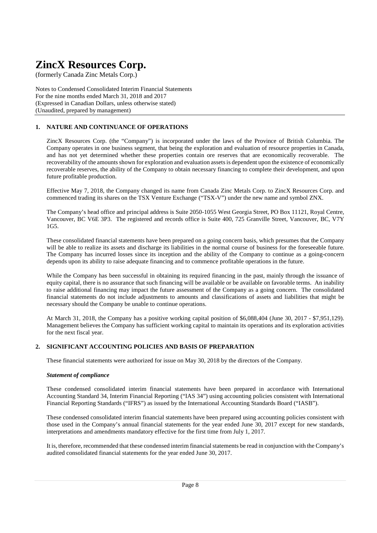(formerly Canada Zinc Metals Corp.)

Notes to Condensed Consolidated Interim Financial Statements For the nine months ended March 31, 2018 and 2017 (Expressed in Canadian Dollars, unless otherwise stated) (Unaudited, prepared by management)

## **1. NATURE AND CONTINUANCE OF OPERATIONS**

ZincX Resources Corp. (the "Company") is incorporated under the laws of the Province of British Columbia. The Company operates in one business segment, that being the exploration and evaluation of resource properties in Canada, and has not yet determined whether these properties contain ore reserves that are economically recoverable. The recoverability of the amounts shown for exploration and evaluation assets is dependent upon the existence of economically recoverable reserves, the ability of the Company to obtain necessary financing to complete their development, and upon future profitable production.

Effective May 7, 2018, the Company changed its name from Canada Zinc Metals Corp. to ZincX Resources Corp. and commenced trading its shares on the TSX Venture Exchange ("TSX-V") under the new name and symbol ZNX.

The Company's head office and principal address is Suite 2050-1055 West Georgia Street, PO Box 11121, Royal Centre, Vancouver, BC V6E 3P3. The registered and records office is Suite 400, 725 Granville Street, Vancouver, BC, V7Y 1G5.

These consolidated financial statements have been prepared on a going concern basis, which presumes that the Company will be able to realize its assets and discharge its liabilities in the normal course of business for the foreseeable future. The Company has incurred losses since its inception and the ability of the Company to continue as a going-concern depends upon its ability to raise adequate financing and to commence profitable operations in the future.

While the Company has been successful in obtaining its required financing in the past, mainly through the issuance of equity capital, there is no assurance that such financing will be available or be available on favorable terms. An inability to raise additional financing may impact the future assessment of the Company as a going concern. The consolidated financial statements do not include adjustments to amounts and classifications of assets and liabilities that might be necessary should the Company be unable to continue operations.

At March 31, 2018, the Company has a positive working capital position of \$6,088,404 (June 30, 2017 - \$7,951,129). Management believes the Company has sufficient working capital to maintain its operations and its exploration activities for the next fiscal year.

### **2. SIGNIFICANT ACCOUNTING POLICIES AND BASIS OF PREPARATION**

These financial statements were authorized for issue on May 30, 2018 by the directors of the Company.

#### *Statement of compliance*

These condensed consolidated interim financial statements have been prepared in accordance with International Accounting Standard 34, Interim Financial Reporting ("IAS 34") using accounting policies consistent with International Financial Reporting Standards ("IFRS") as issued by the International Accounting Standards Board ("IASB").

These condensed consolidated interim financial statements have been prepared using accounting policies consistent with those used in the Company's annual financial statements for the year ended June 30, 2017 except for new standards, interpretations and amendments mandatory effective for the first time from July 1, 2017.

It is, therefore, recommended that these condensed interim financial statements be read in conjunction with the Company's audited consolidated financial statements for the year ended June 30, 2017.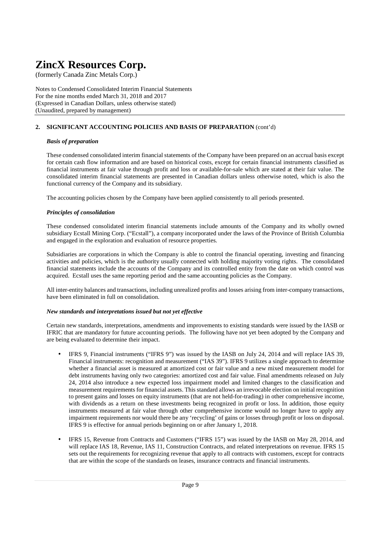(formerly Canada Zinc Metals Corp.)

Notes to Condensed Consolidated Interim Financial Statements For the nine months ended March 31, 2018 and 2017 (Expressed in Canadian Dollars, unless otherwise stated) (Unaudited, prepared by management)

### **2. SIGNIFICANT ACCOUNTING POLICIES AND BASIS OF PREPARATION** (cont'd)

#### *Basis of preparation*

These condensed consolidated interim financial statements of the Company have been prepared on an accrual basis except for certain cash flow information and are based on historical costs, except for certain financial instruments classified as financial instruments at fair value through profit and loss or available-for-sale which are stated at their fair value. The consolidated interim financial statements are presented in Canadian dollars unless otherwise noted, which is also the functional currency of the Company and its subsidiary.

The accounting policies chosen by the Company have been applied consistently to all periods presented.

### *Principles of consolidation*

These condensed consolidated interim financial statements include amounts of the Company and its wholly owned subsidiary Ecstall Mining Corp. ("Ecstall"), a company incorporated under the laws of the Province of British Columbia and engaged in the exploration and evaluation of resource properties.

Subsidiaries are corporations in which the Company is able to control the financial operating, investing and financing activities and policies, which is the authority usually connected with holding majority voting rights. The consolidated financial statements include the accounts of the Company and its controlled entity from the date on which control was acquired. Ecstall uses the same reporting period and the same accounting policies as the Company.

All inter-entity balances and transactions, including unrealized profits and losses arising from inter-company transactions, have been eliminated in full on consolidation.

### *New standards and interpretations issued but not yet effective*

Certain new standards, interpretations, amendments and improvements to existing standards were issued by the IASB or IFRIC that are mandatory for future accounting periods. The following have not yet been adopted by the Company and are being evaluated to determine their impact.

- IFRS 9, Financial instruments ("IFRS 9") was issued by the IASB on July 24, 2014 and will replace IAS 39, Financial instruments: recognition and measurement ("IAS 39"). IFRS 9 utilizes a single approach to determine whether a financial asset is measured at amortized cost or fair value and a new mixed measurement model for debt instruments having only two categories: amortized cost and fair value. Final amendments released on July 24, 2014 also introduce a new expected loss impairment model and limited changes to the classification and measurement requirements for financial assets. This standard allows an irrevocable election on initial recognition to present gains and losses on equity instruments (that are not held-for-trading) in other comprehensive income, with dividends as a return on these investments being recognized in profit or loss. In addition, those equity instruments measured at fair value through other comprehensive income would no longer have to apply any impairment requirements nor would there be any 'recycling' of gains or losses through profit or loss on disposal. IFRS 9 is effective for annual periods beginning on or after January 1, 2018.
- IFRS 15, Revenue from Contracts and Customers ("IFRS 15") was issued by the IASB on May 28, 2014, and will replace IAS 18, Revenue, IAS 11, Construction Contracts, and related interpretations on revenue. IFRS 15 sets out the requirements for recognizing revenue that apply to all contracts with customers, except for contracts that are within the scope of the standards on leases, insurance contracts and financial instruments.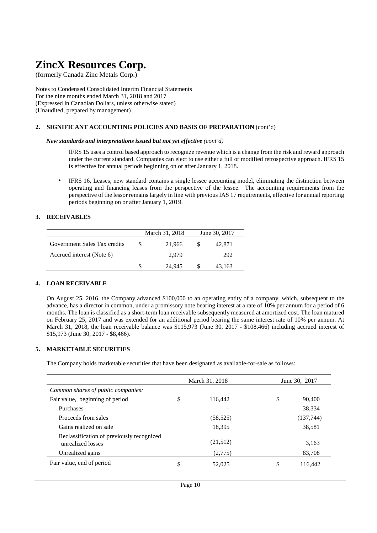(formerly Canada Zinc Metals Corp.)

Notes to Condensed Consolidated Interim Financial Statements For the nine months ended March 31, 2018 and 2017 (Expressed in Canadian Dollars, unless otherwise stated) (Unaudited, prepared by management)

#### **2. SIGNIFICANT ACCOUNTING POLICIES AND BASIS OF PREPARATION** (cont'd)

#### *New standards and interpretations issued but not yet effective (cont'd)*

IFRS 15 uses a control based approach to recognize revenue which is a change from the risk and reward approach under the current standard. Companies can elect to use either a full or modified retrospective approach. IFRS 15 is effective for annual periods beginning on or after January 1, 2018.

• IFRS 16, Leases, new standard contains a single lessee accounting model, eliminating the distinction between operating and financing leases from the perspective of the lessee. The accounting requirements from the perspective of the lessor remains largely in line with previous IAS 17 requirements, effective for annual reporting periods beginning on or after January 1, 2019.

#### **3. RECEIVABLES**

|                              | March 31, 2018 | June 30, 2017 |
|------------------------------|----------------|---------------|
| Government Sales Tax credits | 21.966         | 42,871        |
| Accrued interest (Note 6)    | 2.979          | 292           |
|                              | 24.945         | 43.163        |

#### **4. LOAN RECEIVABLE**

On August 25, 2016, the Company advanced \$100,000 to an operating entity of a company, which, subsequent to the advance, has a director in common, under a promissory note bearing interest at a rate of 10% per annum for a period of 6 months. The loan is classified as a short-term loan receivable subsequently measured at amortized cost. The loan matured on February 25, 2017 and was extended for an additional period bearing the same interest rate of 10% per annum. At March 31, 2018, the loan receivable balance was \$115,973 (June 30, 2017 - \$108,466) including accrued interest of \$15,973 (June 30, 2017 - \$8,466).

#### **5. MARKETABLE SECURITIES**

The Company holds marketable securities that have been designated as available-for-sale as follows:

|                                                                | March 31, 2018 | June 30, 2017 |           |  |  |
|----------------------------------------------------------------|----------------|---------------|-----------|--|--|
| Common shares of public companies:                             |                |               |           |  |  |
| Fair value, beginning of period                                | \$<br>116.442  | \$            | 90,400    |  |  |
| Purchases                                                      |                |               | 38,334    |  |  |
| Proceeds from sales                                            | (58, 525)      |               | (137,744) |  |  |
| Gains realized on sale                                         | 18,395         |               | 38,581    |  |  |
| Reclassification of previously recognized<br>unrealized losses | (21,512)       |               | 3,163     |  |  |
| Unrealized gains                                               | (2,775)        |               | 83,708    |  |  |
| Fair value, end of period                                      | \$<br>52,025   | \$.           | 116.442   |  |  |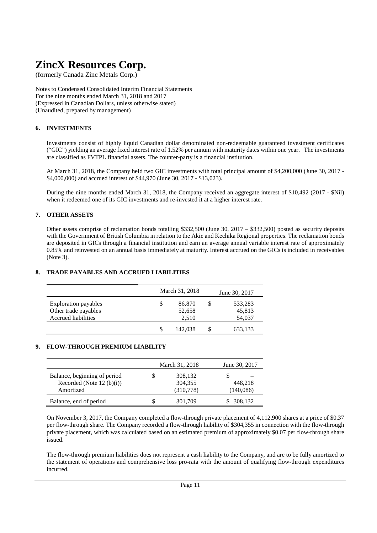(formerly Canada Zinc Metals Corp.)

Notes to Condensed Consolidated Interim Financial Statements For the nine months ended March 31, 2018 and 2017 (Expressed in Canadian Dollars, unless otherwise stated) (Unaudited, prepared by management)

## **6. INVESTMENTS**

Investments consist of highly liquid Canadian dollar denominated non-redeemable guaranteed investment certificates ("GIC") yielding an average fixed interest rate of 1.52% per annum with maturity dates within one year. The investments are classified as FVTPL financial assets. The counter-party is a financial institution.

At March 31, 2018, the Company held two GIC investments with total principal amount of \$4,200,000 (June 30, 2017 - \$4,000,000) and accrued interest of \$44,970 (June 30, 2017 - \$13,023).

During the nine months ended March 31, 2018, the Company received an aggregate interest of \$10,492 (2017 - \$Nil) when it redeemed one of its GIC investments and re-invested it at a higher interest rate.

#### **7. OTHER ASSETS**

Other assets comprise of reclamation bonds totalling \$332,500 (June 30, 2017 – \$332,500) posted as security deposits with the Government of British Columbia in relation to the Akie and Kechika Regional properties. The reclamation bonds are deposited in GICs through a financial institution and earn an average annual variable interest rate of approximately 0.85% and reinvested on an annual basis immediately at maturity. Interest accrued on the GICs is included in receivables (Note 3).

#### **8. TRADE PAYABLES AND ACCRUED LIABILITIES**

|                                                                                   | March 31, 2018                  |   | June 30, 2017               |
|-----------------------------------------------------------------------------------|---------------------------------|---|-----------------------------|
| <b>Exploration payables</b><br>Other trade payables<br><b>Accrued liabilities</b> | \$<br>86,870<br>52,658<br>2,510 | S | 533,283<br>45,813<br>54,037 |
|                                                                                   | 142,038                         | S | 633,133                     |

### **9. FLOW-THROUGH PREMIUM LIABILITY**

|                              | March 31, 2018 | June 30, 2017 |
|------------------------------|----------------|---------------|
| Balance, beginning of period | 308,132        |               |
| Recorded (Note 12 $(b)(i)$ ) | 304,355        | 448.218       |
| Amortized                    | (310,778)      | (140,086)     |
| Balance, end of period       | 301,709        | 308,132       |

On November 3, 2017, the Company completed a flow-through private placement of 4,112,900 shares at a price of \$0.37 per flow-through share. The Company recorded a flow-through liability of \$304,355 in connection with the flow-through private placement, which was calculated based on an estimated premium of approximately \$0.07 per flow-through share issued.

The flow-through premium liabilities does not represent a cash liability to the Company, and are to be fully amortized to the statement of operations and comprehensive loss pro-rata with the amount of qualifying flow-through expenditures incurred.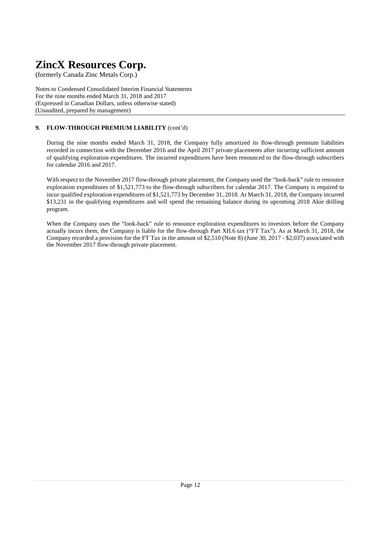(formerly Canada Zinc Metals Corp.)

Notes to Condensed Consolidated Interim Financial Statements For the nine months ended March 31, 2018 and 2017 (Expressed in Canadian Dollars, unless otherwise stated) (Unaudited, prepared by management)

## **9. FLOW-THROUGH PREMIUM LIABILITY** (cont'd)

During the nine months ended March 31, 2018, the Company fully amortized its flow-through premium liabilities recorded in connection with the December 2016 and the April 2017 private placements after incurring sufficient amount of qualifying exploration expenditures. The incurred expenditures have been renounced to the flow-through subscribers for calendar 2016 and 2017.

With respect to the November 2017 flow-through private placement, the Company used the "look-back" rule to renounce exploration expenditures of \$1,521,773 to the flow-through subscribers for calendar 2017. The Company is required to incur qualified exploration expenditures of \$1,521,773 by December 31, 2018. At March 31, 2018, the Company incurred \$13,231 in the qualifying expenditures and will spend the remaining balance during its upcoming 2018 Akie drilling program.

When the Company uses the "look-back" rule to renounce exploration expenditures to investors before the Company actually incurs them, the Company is liable for the flow-through Part XII.6 tax ("FT Tax"). As at March 31, 2018, the Company recorded a provision for the FT Tax in the amount of \$2,510 (Note 8) (June 30, 2017 - \$2,037) associated with the November 2017 flow-through private placement.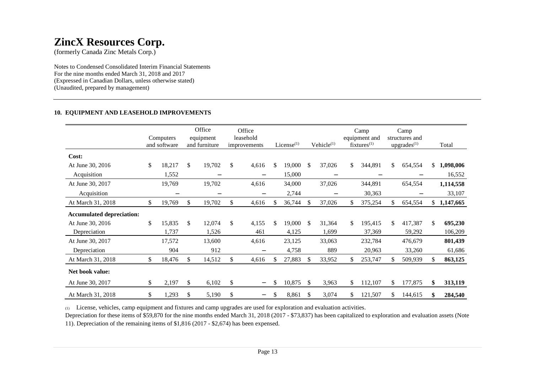(formerly Canada Zinc Metals Corp.)

Notes to Condensed Consolidated Interim Financial Statements For the nine months ended March 31, 2018 and 2017 (Expressed in Canadian Dollars, unless otherwise stated) (Unaudited, prepared by management)

## **10. EQUIPMENT AND LEASEHOLD IMPROVEMENTS**

|                                  | Computers<br>and software |          | Office<br>equipment<br>and furniture | Office<br>leasehold<br>improvements |    | License $(1)$ |               | Vehicle $(1)$            |     | Camp<br>equipment and<br>$fixtures^{(1)}$ |     | Camp<br>structures and<br>upgrades <sup>(1)</sup> |     | Total     |
|----------------------------------|---------------------------|----------|--------------------------------------|-------------------------------------|----|---------------|---------------|--------------------------|-----|-------------------------------------------|-----|---------------------------------------------------|-----|-----------|
| Cost:                            |                           |          |                                      |                                     |    |               |               |                          |     |                                           |     |                                                   |     |           |
| At June 30, 2016                 | \$<br>18,217              | \$       | 19,702                               | \$<br>4,616                         | \$ | 19,000        | <sup>\$</sup> | 37,026                   | \$  | 344,891                                   | \$  | 654,554                                           | \$  | 1,098,006 |
| Acquisition                      | 1,552                     |          | $\overline{\phantom{m}}$             | $\qquad \qquad -$                   |    | 15,000        |               | $\overline{\phantom{m}}$ |     |                                           |     |                                                   |     | 16,552    |
| At June 30, 2017                 | 19,769                    |          | 19,702                               | 4,616                               |    | 34,000        |               | 37,026                   |     | 344,891                                   |     | 654,554                                           |     | 1,114,558 |
| Acquisition                      | $\overline{\phantom{0}}$  |          | $\qquad \qquad -$                    | $\overline{\phantom{0}}$            |    | 2,744         |               | $\overline{\phantom{m}}$ |     | 30,363                                    |     | $\qquad \qquad$                                   |     | 33,107    |
| At March 31, 2018                | \$<br>19,769              | \$       | 19,702                               | \$<br>4,616                         | S. | 36,744        | <sup>\$</sup> | 37,026                   | \$  | 375,254                                   |     | 654,554                                           | \$. | 1,147,665 |
| <b>Accumulated depreciation:</b> |                           |          |                                      |                                     |    |               |               |                          |     |                                           |     |                                                   |     |           |
| At June 30, 2016                 | \$<br>15,835              | \$       | 12,074                               | \$<br>4,155                         | \$ | 19,000        | <sup>\$</sup> | 31,364                   | \$. | 195,415                                   | \$. | 417,387                                           | \$  | 695,230   |
| Depreciation                     | 1,737                     |          | 1,526                                | 461                                 |    | 4,125         |               | 1,699                    |     | 37,369                                    |     | 59,292                                            |     | 106,209   |
| At June 30, 2017                 | 17,572                    |          | 13,600                               | 4,616                               |    | 23,125        |               | 33,063                   |     | 232,784                                   |     | 476,679                                           |     | 801,439   |
| Depreciation                     | 904                       |          | 912                                  |                                     |    | 4,758         |               | 889                      |     | 20,963                                    |     | 33,260                                            |     | 61,686    |
| At March 31, 2018                | \$<br>18,476              | <b>S</b> | 14,512                               | 4,616                               | S  | 27,883        | <sup>\$</sup> | 33,952                   | \$. | 253,747                                   |     | 509,939                                           | \$. | 863,125   |
| Net book value:                  |                           |          |                                      |                                     |    |               |               |                          |     |                                           |     |                                                   |     |           |
| At June 30, 2017                 | \$<br>2,197               | \$       | 6,102                                | \$                                  | \$ | 10,875        | <sup>\$</sup> | 3,963                    | \$  | 112,107                                   | \$  | 177,875                                           | \$  | 313,119   |
| At March 31, 2018                | \$<br>1,293               | \$       | 5,190                                | \$<br>—                             | \$ | 8,861         | \$            | 3,074                    | \$. | 121,507                                   | S.  | 144,615                                           | \$  | 284,540   |

(1) License, vehicles, camp equipment and fixtures and camp upgrades are used for exploration and evaluation activities.

 Depreciation for these items of \$59,870 for the nine months ended March 31, 2018 (2017 - \$73,837) has been capitalized to exploration and evaluation assets (Note 11). Depreciation of the remaining items of \$1,816 (2017 - \$2,674) has been expensed.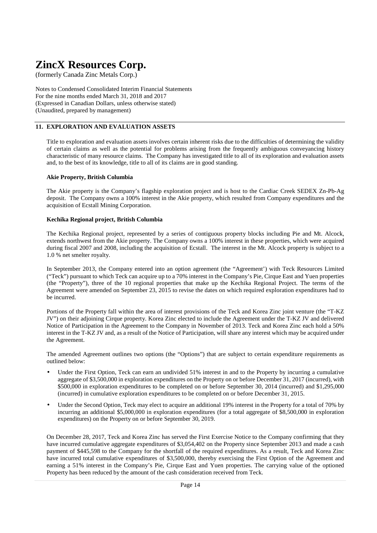(formerly Canada Zinc Metals Corp.)

Notes to Condensed Consolidated Interim Financial Statements For the nine months ended March 31, 2018 and 2017 (Expressed in Canadian Dollars, unless otherwise stated) (Unaudited, prepared by management)

### **11. EXPLORATION AND EVALUATION ASSETS**

Title to exploration and evaluation assets involves certain inherent risks due to the difficulties of determining the validity of certain claims as well as the potential for problems arising from the frequently ambiguous conveyancing history characteristic of many resource claims. The Company has investigated title to all of its exploration and evaluation assets and, to the best of its knowledge, title to all of its claims are in good standing.

#### **Akie Property, British Columbia**

The Akie property is the Company's flagship exploration project and is host to the Cardiac Creek SEDEX Zn-Pb-Ag deposit. The Company owns a 100% interest in the Akie property, which resulted from Company expenditures and the acquisition of Ecstall Mining Corporation.

#### **Kechika Regional project, British Columbia**

The Kechika Regional project, represented by a series of contiguous property blocks including Pie and Mt. Alcock, extends northwest from the Akie property. The Company owns a 100% interest in these properties, which were acquired during fiscal 2007 and 2008, including the acquisition of Ecstall. The interest in the Mt. Alcock property is subject to a 1.0 % net smelter royalty.

In September 2013, the Company entered into an option agreement (the "Agreement') with Teck Resources Limited ("Teck") pursuant to which Teck can acquire up to a 70% interest in the Company's Pie, Cirque East and Yuen properties (the "Property"), three of the 10 regional properties that make up the Kechika Regional Project. The terms of the Agreement were amended on September 23, 2015 to revise the dates on which required exploration expenditures had to be incurred.

Portions of the Property fall within the area of interest provisions of the Teck and Korea Zinc joint venture (the "T-KZ JV") on their adjoining Cirque property. Korea Zinc elected to include the Agreement under the T-KZ JV and delivered Notice of Participation in the Agreement to the Company in November of 2013. Teck and Korea Zinc each hold a 50% interest in the T-KZ JV and, as a result of the Notice of Participation, will share any interest which may be acquired under the Agreement.

The amended Agreement outlines two options (the "Options") that are subject to certain expenditure requirements as outlined below:

- Under the First Option, Teck can earn an undivided 51% interest in and to the Property by incurring a cumulative aggregate of \$3,500,000 in exploration expenditures on the Property on or before December 31, 2017 (incurred), with \$500,000 in exploration expenditures to be completed on or before September 30, 2014 (incurred) and \$1,295,000 (incurred) in cumulative exploration expenditures to be completed on or before December 31, 2015.
- Under the Second Option, Teck may elect to acquire an additional 19% interest in the Property for a total of 70% by incurring an additional \$5,000,000 in exploration expenditures (for a total aggregate of \$8,500,000 in exploration expenditures) on the Property on or before September 30, 2019.

On December 28, 2017, Teck and Korea Zinc has served the First Exercise Notice to the Company confirming that they have incurred cumulative aggregate expenditures of \$3,054,402 on the Property since September 2013 and made a cash payment of \$445,598 to the Company for the shortfall of the required expenditures. As a result, Teck and Korea Zinc have incurred total cumulative expenditures of \$3,500,000, thereby exercising the First Option of the Agreement and earning a 51% interest in the Company's Pie, Cirque East and Yuen properties. The carrying value of the optioned Property has been reduced by the amount of the cash consideration received from Teck.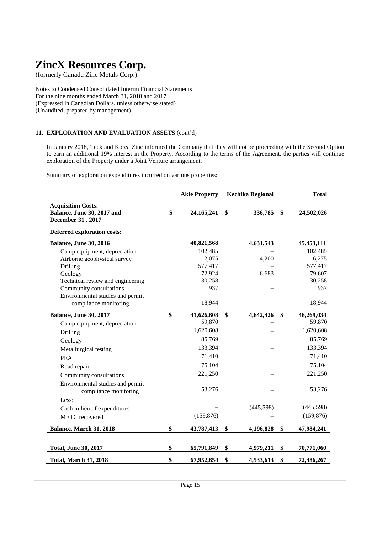(formerly Canada Zinc Metals Corp.)

Notes to Condensed Consolidated Interim Financial Statements For the nine months ended March 31, 2018 and 2017 (Expressed in Canadian Dollars, unless otherwise stated) (Unaudited, prepared by management)

## **11. EXPLORATION AND EVALUATION ASSETS** (cont'd)

In January 2018, Teck and Korea Zinc informed the Company that they will not be proceeding with the Second Option to earn an additional 19% interest in the Property. According to the terms of the Agreement, the parties will continue exploration of the Property under a Joint Venture arrangement.

Summary of exploration expenditures incurred on various properties:

|                                                                              | <b>Akie Property</b> | <b>Kechika Regional</b> | <b>Total</b>     |
|------------------------------------------------------------------------------|----------------------|-------------------------|------------------|
| <b>Acquisition Costs:</b><br>Balance, June 30, 2017 and<br>December 31, 2017 | \$<br>24, 165, 241   | \$<br>336,785           | \$<br>24,502,026 |
| <b>Deferred exploration costs:</b>                                           |                      |                         |                  |
| <b>Balance, June 30, 2016</b>                                                | 40,821,568           | 4,631,543               | 45, 453, 111     |
| Camp equipment, depreciation                                                 | 102,485              |                         | 102,485          |
| Airborne geophysical survey                                                  | 2,075                | 4,200                   | 6,275            |
| Drilling                                                                     | 577,417              |                         | 577,417          |
| Geology                                                                      | 72,924               | 6,683                   | 79,607           |
| Technical review and engineering                                             | 30,258               |                         | 30,258           |
| Community consultations                                                      | 937                  |                         | 937              |
| Environmental studies and permit<br>compliance monitoring                    | 18,944               |                         | 18,944           |
| <b>Balance, June 30, 2017</b>                                                | \$<br>41,626,608     | \$<br>4,642,426         | \$<br>46,269,034 |
| Camp equipment, depreciation                                                 | 59,870               |                         | 59,870           |
| Drilling                                                                     | 1,620,608            |                         | 1,620,608        |
| Geology                                                                      | 85,769               |                         | 85,769           |
| Metallurgical testing                                                        | 133,394              |                         | 133,394          |
| <b>PEA</b>                                                                   | 71,410               |                         | 71,410           |
| Road repair                                                                  | 75,104               |                         | 75,104           |
| Community consultations                                                      | 221,250              |                         | 221,250          |
| Environmental studies and permit<br>compliance monitoring                    | 53,276               |                         | 53,276           |
| Less:                                                                        |                      |                         |                  |
| Cash in lieu of expenditures                                                 |                      | (445,598)               | (445,598)        |
| <b>METC</b> recovered                                                        | (159, 876)           |                         | (159, 876)       |
| Balance, March 31, 2018                                                      | \$<br>43,787,413     | \$<br>4,196,828         | \$<br>47,984,241 |
|                                                                              |                      |                         |                  |
| <b>Total, June 30, 2017</b>                                                  | \$<br>65,791,849     | \$<br>4,979,211         | \$<br>70,771,060 |
| <b>Total, March 31, 2018</b>                                                 | \$<br>67,952,654     | \$<br>4,533,613         | \$<br>72,486,267 |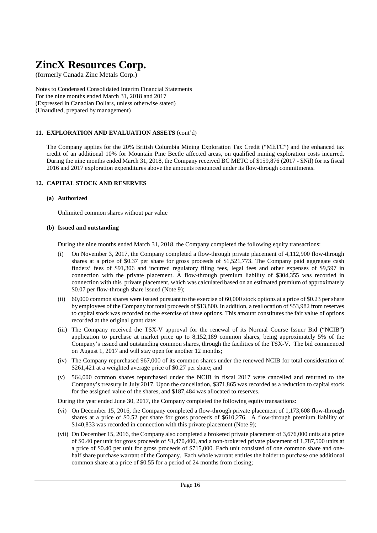(formerly Canada Zinc Metals Corp.)

Notes to Condensed Consolidated Interim Financial Statements For the nine months ended March 31, 2018 and 2017 (Expressed in Canadian Dollars, unless otherwise stated) (Unaudited, prepared by management)

## **11. EXPLORATION AND EVALUATION ASSETS** (cont'd)

The Company applies for the 20% British Columbia Mining Exploration Tax Credit ("METC") and the enhanced tax credit of an additional 10% for Mountain Pine Beetle affected areas, on qualified mining exploration costs incurred. During the nine months ended March 31, 2018, the Company received BC METC of \$159,876 (2017 - \$Nil) for its fiscal 2016 and 2017 exploration expenditures above the amounts renounced under its flow-through commitments.

### **12. CAPITAL STOCK AND RESERVES**

#### **(a) Authorized**

Unlimited common shares without par value

#### **(b) Issued and outstanding**

During the nine months ended March 31, 2018, the Company completed the following equity transactions:

- (i) On November 3, 2017, the Company completed a flow-through private placement of 4,112,900 flow-through shares at a price of \$0.37 per share for gross proceeds of \$1,521,773. The Company paid aggregate cash finders' fees of \$91,306 and incurred regulatory filing fees, legal fees and other expenses of \$9,597 in connection with the private placement. A flow-through premium liability of \$304,355 was recorded in connection with this private placement, which was calculated based on an estimated premium of approximately \$0.07 per flow-through share issued (Note 9);
- (ii) 60,000 common shares were issued pursuant to the exercise of 60,000 stock options at a price of \$0.23 per share by employees of the Company for total proceeds of \$13,800. In addition, a reallocation of \$53,982 from reserves to capital stock was recorded on the exercise of these options. This amount constitutes the fair value of options recorded at the original grant date;
- (iii) The Company received the TSX-V approval for the renewal of its Normal Course Issuer Bid ("NCIB") application to purchase at market price up to 8,152,189 common shares, being approximately 5% of the Company's issued and outstanding common shares, through the facilities of the TSX-V. The bid commenced on August 1, 2017 and will stay open for another 12 months;
- (iv) The Company repurchased 967,000 of its common shares under the renewed NCIB for total consideration of \$261,421 at a weighted average price of \$0.27 per share; and
- (v) 564,000 common shares repurchased under the NCIB in fiscal 2017 were cancelled and returned to the Company's treasury in July 2017. Upon the cancellation, \$371,865 was recorded as a reduction to capital stock for the assigned value of the shares, and \$187,484 was allocated to reserves.

During the year ended June 30, 2017, the Company completed the following equity transactions:

- (vi) On December 15, 2016, the Company completed a flow-through private placement of 1,173,608 flow-through shares at a price of \$0.52 per share for gross proceeds of \$610,276. A flow-through premium liability of \$140,833 was recorded in connection with this private placement (Note 9);
- (vii) On December 15, 2016, the Company also completed a brokered private placement of 3,676,000 units at a price of \$0.40 per unit for gross proceeds of \$1,470,400, and a non-brokered private placement of 1,787,500 units at a price of \$0.40 per unit for gross proceeds of \$715,000. Each unit consisted of one common share and one half share purchase warrant of the Company. Each whole warrant entitles the holder to purchase one additional common share at a price of \$0.55 for a period of 24 months from closing;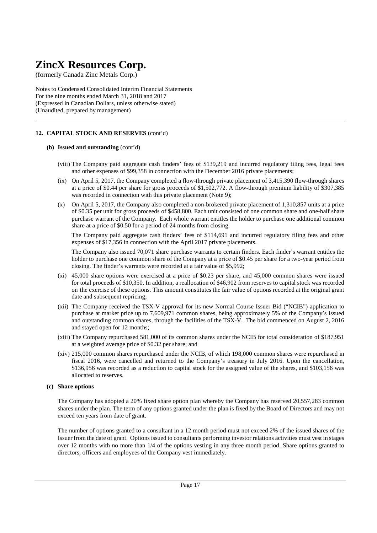(formerly Canada Zinc Metals Corp.)

Notes to Condensed Consolidated Interim Financial Statements For the nine months ended March 31, 2018 and 2017 (Expressed in Canadian Dollars, unless otherwise stated) (Unaudited, prepared by management)

## **12. CAPITAL STOCK AND RESERVES** (cont'd)

#### **(b) Issued and outstanding** (cont'd)

- (viii) The Company paid aggregate cash finders' fees of \$139,219 and incurred regulatory filing fees, legal fees and other expenses of \$99,358 in connection with the December 2016 private placements;
- (ix) On April 5, 2017, the Company completed a flow-through private placement of 3,415,390 flow-through shares at a price of \$0.44 per share for gross proceeds of \$1,502,772. A flow-through premium liability of \$307,385 was recorded in connection with this private placement (Note 9);
- (x) On April 5, 2017, the Company also completed a non-brokered private placement of 1,310,857 units at a price of \$0.35 per unit for gross proceeds of \$458,800. Each unit consisted of one common share and one-half share purchase warrant of the Company. Each whole warrant entitles the holder to purchase one additional common share at a price of \$0.50 for a period of 24 months from closing.

 The Company paid aggregate cash finders' fees of \$114,691 and incurred regulatory filing fees and other expenses of \$17,356 in connection with the April 2017 private placements.

 The Company also issued 70,071 share purchase warrants to certain finders. Each finder's warrant entitles the holder to purchase one common share of the Company at a price of \$0.45 per share for a two-year period from closing. The finder's warrants were recorded at a fair value of \$5,992;

- (xi) 45,000 share options were exercised at a price of \$0.23 per share, and 45,000 common shares were issued for total proceeds of \$10,350. In addition, a reallocation of \$46,902 from reserves to capital stock was recorded on the exercise of these options. This amount constitutes the fair value of options recorded at the original grant date and subsequent repricing;
- (xii) The Company received the TSX-V approval for its new Normal Course Issuer Bid ("NCIB") application to purchase at market price up to 7,609,971 common shares, being approximately 5% of the Company's issued and outstanding common shares, through the facilities of the TSX-V. The bid commenced on August 2, 2016 and stayed open for 12 months;
- (xiii) The Company repurchased 581,000 of its common shares under the NCIB for total consideration of \$187,951 at a weighted average price of \$0.32 per share; and
- (xiv) 215,000 common shares repurchased under the NCIB, of which 198,000 common shares were repurchased in fiscal 2016, were cancelled and returned to the Company's treasury in July 2016. Upon the cancellation, \$136,956 was recorded as a reduction to capital stock for the assigned value of the shares, and \$103,156 was allocated to reserves.

#### **(c) Share options**

 The Company has adopted a 20% fixed share option plan whereby the Company has reserved 20,557,283 common shares under the plan. The term of any options granted under the plan is fixed by the Board of Directors and may not exceed ten years from date of grant.

 The number of options granted to a consultant in a 12 month period must not exceed 2% of the issued shares of the Issuer from the date of grant. Options issued to consultants performing investor relations activities must vest in stages over 12 months with no more than 1/4 of the options vesting in any three month period. Share options granted to directors, officers and employees of the Company vest immediately.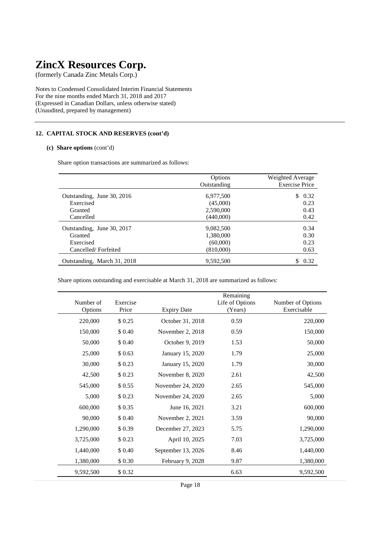(formerly Canada Zinc Metals Corp.)

Notes to Condensed Consolidated Interim Financial Statements For the nine months ended March 31, 2018 and 2017 (Expressed in Canadian Dollars, unless otherwise stated) (Unaudited, prepared by management)

## **12. CAPITAL STOCK AND RESERVES (cont'd)**

#### **(c) Share options** (cont'd)

Share option transactions are summarized as follows:

|                             | Options     | Weighted Average      |
|-----------------------------|-------------|-----------------------|
|                             | Outstanding | <b>Exercise Price</b> |
| Outstanding, June 30, 2016  | 6,977,500   | 0.32<br>\$            |
| Exercised                   | (45,000)    | 0.23                  |
| Granted                     | 2,590,000   | 0.43                  |
| Cancelled                   | (440,000)   | 0.42                  |
| Outstanding, June 30, 2017  | 9,082,500   | 0.34                  |
| Granted                     | 1,380,000   | 0.30                  |
| Exercised                   | (60,000)    | 0.23                  |
| Cancelled/Forfeited         | (810,000)   | 0.63                  |
| Outstanding, March 31, 2018 | 9.592.500   | 0.32                  |

Share options outstanding and exercisable at March 31, 2018 are summarized as follows:

| Number of<br>Options | Exercise<br>Price | <b>Expiry Date</b> | Remaining<br>Life of Options<br>(Years) | Number of Options<br>Exercisable |
|----------------------|-------------------|--------------------|-----------------------------------------|----------------------------------|
| 220,000              | \$0.25            | October 31, 2018   | 0.59                                    | 220,000                          |
| 150,000              | \$ 0.40           | November 2, 2018   | 0.59                                    | 150,000                          |
| 50,000               | \$ 0.40           | October 9, 2019    | 1.53                                    | 50,000                           |
| 25,000               | \$0.63            | January 15, 2020   | 1.79                                    | 25,000                           |
| 30,000               | \$0.23            | January 15, 2020   | 1.79                                    | 30,000                           |
| 42,500               | \$0.23            | November 8, 2020   | 2.61                                    | 42,500                           |
| 545,000              | \$0.55            | November 24, 2020  | 2.65                                    | 545,000                          |
| 5,000                | \$0.23            | November 24, 2020  | 2.65                                    | 5,000                            |
| 600,000              | \$0.35            | June 16, 2021      | 3.21                                    | 600,000                          |
| 90,000               | \$ 0.40           | November 2, 2021   | 3.59                                    | 90,000                           |
| 1,290,000            | \$0.39            | December 27, 2023  | 5.75                                    | 1,290,000                        |
| 3,725,000            | \$0.23            | April 10, 2025     | 7.03                                    | 3,725,000                        |
| 1,440,000            | \$ 0.40           | September 13, 2026 | 8.46                                    | 1,440,000                        |
| 1,380,000            | \$0.30            | February 9, 2028   | 9.87                                    | 1,380,000                        |
| 9,592,500            | \$0.32            |                    | 6.63                                    | 9,592,500                        |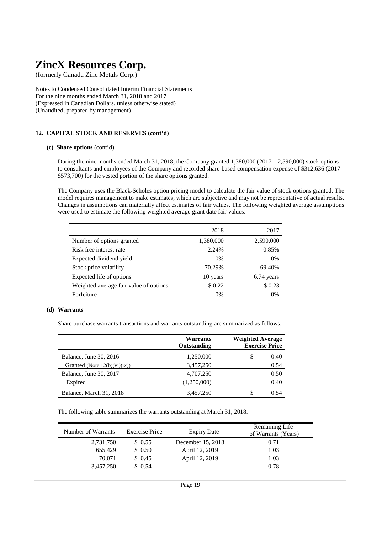(formerly Canada Zinc Metals Corp.)

Notes to Condensed Consolidated Interim Financial Statements For the nine months ended March 31, 2018 and 2017 (Expressed in Canadian Dollars, unless otherwise stated) (Unaudited, prepared by management)

### **12. CAPITAL STOCK AND RESERVES (cont'd)**

#### **(c) Share options** (cont'd)

During the nine months ended March 31, 2018, the Company granted 1,380,000 (2017 – 2,590,000) stock options to consultants and employees of the Company and recorded share-based compensation expense of \$312,636 (2017 - \$573,700) for the vested portion of the share options granted.

The Company uses the Black-Scholes option pricing model to calculate the fair value of stock options granted. The model requires management to make estimates, which are subjective and may not be representative of actual results. Changes in assumptions can materially affect estimates of fair values. The following weighted average assumptions were used to estimate the following weighted average grant date fair values:

|                                        | 2018      | 2017       |
|----------------------------------------|-----------|------------|
| Number of options granted              | 1,380,000 | 2,590,000  |
| Risk free interest rate                | 2.24%     | 0.85%      |
| Expected dividend yield                | 0%        | 0%         |
| Stock price volatility                 | 70.29%    | 69.40%     |
| Expected life of options               | 10 years  | 6.74 years |
| Weighted average fair value of options | \$0.22    | \$0.23     |
| Forfeiture                             | 0%        | $0\%$      |

#### **(d) Warrants**

Share purchase warrants transactions and warrants outstanding are summarized as follows:

|                                 | <b>Warrants</b><br>Outstanding | <b>Weighted Average</b><br><b>Exercise Price</b> |  |
|---------------------------------|--------------------------------|--------------------------------------------------|--|
| Balance, June 30, 2016          | 1,250,000                      | \$<br>0.40                                       |  |
| Granted (Note $12(b)(vi)(ix)$ ) | 3,457,250                      | 0.54                                             |  |
| Balance, June 30, 2017          | 4,707,250                      | 0.50                                             |  |
| Expired                         | (1,250,000)                    | 0.40                                             |  |
| Balance, March 31, 2018         | 3,457,250                      | 0.54                                             |  |

The following table summarizes the warrants outstanding at March 31, 2018:

| Number of Warrants | <b>Exercise Price</b> | <b>Expiry Date</b> | Remaining Life<br>of Warrants (Years) |
|--------------------|-----------------------|--------------------|---------------------------------------|
| 2,731,750          | \$0.55                | December 15, 2018  | 0.71                                  |
| 655,429            | \$0.50                | April 12, 2019     | 1.03                                  |
| 70.071             | \$0.45                | April 12, 2019     | 1.03                                  |
| 3,457,250          | \$ 0.54               |                    | 0.78                                  |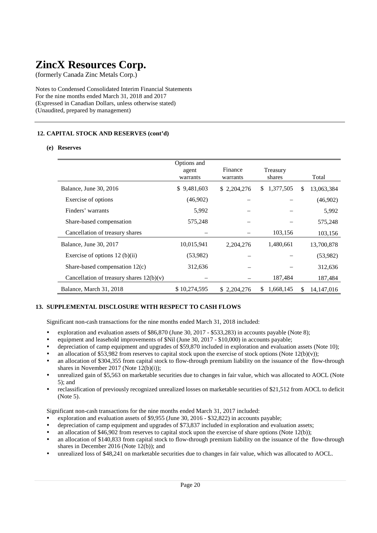(formerly Canada Zinc Metals Corp.)

Notes to Condensed Consolidated Interim Financial Statements For the nine months ended March 31, 2018 and 2017 (Expressed in Canadian Dollars, unless otherwise stated) (Unaudited, prepared by management)

## **12. CAPITAL STOCK AND RESERVES (cont'd)**

#### **(e) Reserves**

|                                            | Options and<br>agent<br>warrants | Finance<br>warrants | Treasury<br>shares |     | Total        |
|--------------------------------------------|----------------------------------|---------------------|--------------------|-----|--------------|
| Balance, June 30, 2016                     | \$9,481,603                      | \$2,204,276         | \$1,377,505        | S.  | 13,063,384   |
| Exercise of options                        | (46,902)                         |                     |                    |     | (46,902)     |
| Finders' warrants                          | 5,992                            |                     |                    |     | 5,992        |
| Share-based compensation                   | 575,248                          |                     |                    |     | 575,248      |
| Cancellation of treasury shares            |                                  |                     | 103,156            |     | 103,156      |
| Balance, June 30, 2017                     | 10,015,941                       | 2,204,276           | 1,480,661          |     | 13,700,878   |
| Exercise of options $12$ (b)(ii)           | (53,982)                         |                     |                    |     | (53,982)     |
| Share-based compensation $12(c)$           | 312,636                          |                     |                    |     | 312,636      |
| Cancellation of treasury shares $12(b)(v)$ |                                  |                     | 187,484            |     | 187,484      |
| Balance, March 31, 2018                    | \$10,274,595                     | \$2,204,276         | 1,668,145<br>S.    | \$. | 14, 147, 016 |

### **13. SUPPLEMENTAL DISCLOSURE WITH RESPECT TO CASH FLOWS**

Significant non-cash transactions for the nine months ended March 31, 2018 included:

- exploration and evaluation assets of \$86,870 (June 30, 2017 \$533,283) in accounts payable (Note 8);
- equipment and leasehold improvements of \$Nil (June 30, 2017 \$10,000) in accounts payable;
- depreciation of camp equipment and upgrades of \$59,870 included in exploration and evaluation assets (Note 10);
- an allocation of \$53,982 from reserves to capital stock upon the exercise of stock options (Note  $12(b)(v)$ );
- an allocation of \$304,355 from capital stock to flow-through premium liability on the issuance of the flow-through shares in November 2017 (Note 12(b)(i));
- unrealized gain of \$5,563 on marketable securities due to changes in fair value, which was allocated to AOCL (Note 5); and
- reclassification of previously recognized unrealized losses on marketable securities of \$21,512 from AOCL to deficit (Note 5).

Significant non-cash transactions for the nine months ended March 31, 2017 included:

- exploration and evaluation assets of \$9,955 (June 30, 2016 \$32,822) in accounts payable;
- depreciation of camp equipment and upgrades of \$73,837 included in exploration and evaluation assets;
- an allocation of \$46,902 from reserves to capital stock upon the exercise of share options (Note 12(b));
- an allocation of \$140,833 from capital stock to flow-through premium liability on the issuance of the flow-through shares in December 2016 (Note 12(b)); and
- unrealized loss of \$48,241 on marketable securities due to changes in fair value, which was allocated to AOCL.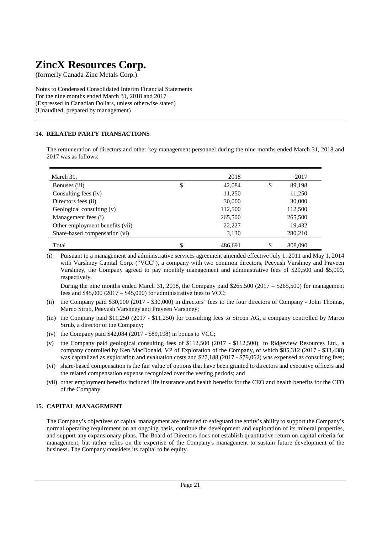(formerly Canada Zinc Metals Corp.)

Notes to Condensed Consolidated Interim Financial Statements For the nine months ended March 31, 2018 and 2017 (Expressed in Canadian Dollars, unless otherwise stated) (Unaudited, prepared by management)

## **14. RELATED PARTY TRANSACTIONS**

The remuneration of directors and other key management personnel during the nine months ended March 31, 2018 and 2017 was as follows:

| March 31,                       | 2018          | 2017          |
|---------------------------------|---------------|---------------|
| Bonuses (iii)                   | \$<br>42,084  | \$<br>89,198  |
| Consulting fees (iv)            | 11,250        | 11,250        |
| Directors fees (ii)             | 30,000        | 30,000        |
| Geological consulting (v)       | 112,500       | 112,500       |
| Management fees (i)             | 265,500       | 265,500       |
| Other employment benefits (vii) | 22,227        | 19,432        |
| Share-based compensation (vi)   | 3,130         | 280,210       |
| Total                           | \$<br>486.691 | \$<br>808,090 |

(i) Pursuant to a management and administrative services agreement amended effective July 1, 2011 and May 1, 2014 with Varshney Capital Corp. ("VCC"), a company with two common directors, Peeyush Varshney and Praveen Varshney, the Company agreed to pay monthly management and administrative fees of \$29,500 and \$5,000, respectively.

During the nine months ended March 31, 2018, the Company paid \$265,500 (2017 – \$265,500) for management fees and \$45,000 (2017 – \$45,000) for administrative fees to VCC;

- (ii) the Company paid \$30,000 (2017 \$30,000) in directors' fees to the four directors of Company John Thomas, Marco Strub, Peeyush Varshney and Praveen Varshney;
- (iii) the Company paid \$11,250 (2017 \$11,250) for consulting fees to Sircon AG, a company controlled by Marco Strub, a director of the Company;
- (iv) the Company paid \$42,084 (2017 \$89,198) in bonus to VCC;
- (v) the Company paid geological consulting fees of \$112,500 (2017 \$112,500) to Ridgeview Resources Ltd., a company controlled by Ken MacDonald, VP of Exploration of the Company, of which \$85,312 (2017 - \$33,438) was capitalized as exploration and evaluation costs and \$27,188 (2017 - \$79,062) was expensed as consulting fees;
- (vi) share-based compensation is the fair value of options that have been granted to directors and executive officers and the related compensation expense recognized over the vesting periods; and
- (vii) other employment benefits included life insurance and health benefits for the CEO and health benefits for the CFO of the Company.

### **15. CAPITAL MANAGEMENT**

The Company's objectives of capital management are intended to safeguard the entity's ability to support the Company's normal operating requirement on an ongoing basis, continue the development and exploration of its mineral properties, and support any expansionary plans. The Board of Directors does not establish quantitative return on capital criteria for management, but rather relies on the expertise of the Company's management to sustain future development of the business. The Company considers its capital to be equity.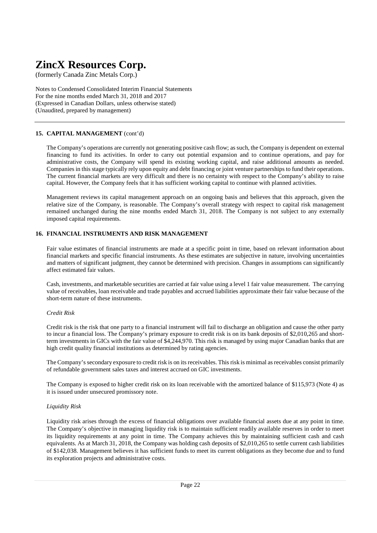(formerly Canada Zinc Metals Corp.)

Notes to Condensed Consolidated Interim Financial Statements For the nine months ended March 31, 2018 and 2017 (Expressed in Canadian Dollars, unless otherwise stated) (Unaudited, prepared by management)

## **15. CAPITAL MANAGEMENT** (cont'd)

The Company's operations are currently not generating positive cash flow; as such, the Company is dependent on external financing to fund its activities. In order to carry out potential expansion and to continue operations, and pay for administrative costs, the Company will spend its existing working capital, and raise additional amounts as needed. Companies in this stage typically rely upon equity and debt financing or joint venture partnerships to fund their operations. The current financial markets are very difficult and there is no certainty with respect to the Company's ability to raise capital. However, the Company feels that it has sufficient working capital to continue with planned activities.

Management reviews its capital management approach on an ongoing basis and believes that this approach, given the relative size of the Company, is reasonable. The Company's overall strategy with respect to capital risk management remained unchanged during the nine months ended March 31, 2018. The Company is not subject to any externally imposed capital requirements.

### **16. FINANCIAL INSTRUMENTS AND RISK MANAGEMENT**

Fair value estimates of financial instruments are made at a specific point in time, based on relevant information about financial markets and specific financial instruments. As these estimates are subjective in nature, involving uncertainties and matters of significant judgment, they cannot be determined with precision. Changes in assumptions can significantly affect estimated fair values.

Cash, investments, and marketable securities are carried at fair value using a level 1 fair value measurement. The carrying value of receivables, loan receivable and trade payables and accrued liabilities approximate their fair value because of the short-term nature of these instruments.

#### *Credit Risk*

Credit risk is the risk that one party to a financial instrument will fail to discharge an obligation and cause the other party to incur a financial loss. The Company's primary exposure to credit risk is on its bank deposits of \$2,010,265 and shortterm investments in GICs with the fair value of \$4,244,970. This risk is managed by using major Canadian banks that are high credit quality financial institutions as determined by rating agencies.

The Company's secondary exposure to credit risk is on its receivables. This risk is minimal as receivables consist primarily of refundable government sales taxes and interest accrued on GIC investments.

The Company is exposed to higher credit risk on its loan receivable with the amortized balance of \$115,973 (Note 4) as it is issued under unsecured promissory note.

### *Liquidity Risk*

Liquidity risk arises through the excess of financial obligations over available financial assets due at any point in time. The Company's objective in managing liquidity risk is to maintain sufficient readily available reserves in order to meet its liquidity requirements at any point in time. The Company achieves this by maintaining sufficient cash and cash equivalents. As at March 31, 2018, the Company was holding cash deposits of \$2,010,265 to settle current cash liabilities of \$142,038. Management believes it has sufficient funds to meet its current obligations as they become due and to fund its exploration projects and administrative costs.